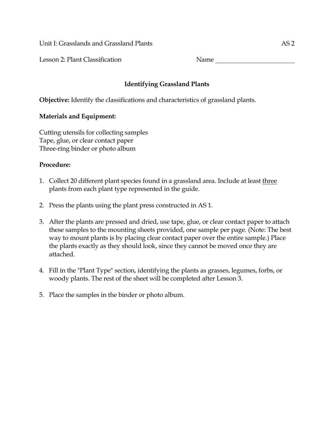Unit I: Grasslands and Grassland Plants and AS 2

Lesson 2: Plant Classification Name

## **Identifying Grassland Plants**

**Objective:** Identify the classifications and characteristics of grassland plants.

## **Materials and Equipment:**

Cutting utensils for collecting samples Tape, glue, or clear contact paper Three-ring binder or photo album

## **Procedure:**

- 1. Collect 20 different plant species found in a grassland area. Include at least three plants from each plant type represented in the guide.
- 2. Press the plants using the plant press constructed in AS 1.
- 3. After the plants are pressed and dried, use tape, glue, or clear contact paper to attach these samples to the mounting sheets provided, one sample per page. (Note: The best way to mount plants is by placing clear contact paper over the entire sample.) Place the plants exactly as they should look, since they cannot be moved once they are attached.
- 4. Fill in the "Plant Type" section, identifying the plants as grasses, legumes, forbs, or woody plants. The rest of the sheet will be completed after Lesson 3.
- 5. Place the samples in the binder or photo album.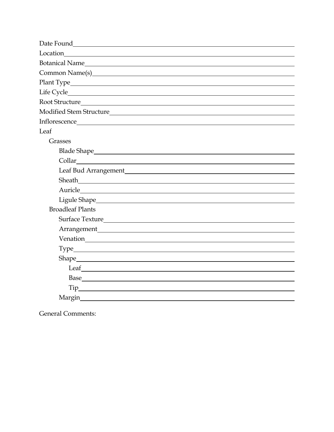| Leaf                                                                                                                                                                                                                                                                                                                                                                                                                                                                                                              |
|-------------------------------------------------------------------------------------------------------------------------------------------------------------------------------------------------------------------------------------------------------------------------------------------------------------------------------------------------------------------------------------------------------------------------------------------------------------------------------------------------------------------|
| Grasses                                                                                                                                                                                                                                                                                                                                                                                                                                                                                                           |
|                                                                                                                                                                                                                                                                                                                                                                                                                                                                                                                   |
|                                                                                                                                                                                                                                                                                                                                                                                                                                                                                                                   |
|                                                                                                                                                                                                                                                                                                                                                                                                                                                                                                                   |
| Sheath <u>January 1988</u>                                                                                                                                                                                                                                                                                                                                                                                                                                                                                        |
| Auricle experience and the set of the set of the set of the set of the set of the set of the set of the set of                                                                                                                                                                                                                                                                                                                                                                                                    |
|                                                                                                                                                                                                                                                                                                                                                                                                                                                                                                                   |
| <b>Broadleaf Plants</b>                                                                                                                                                                                                                                                                                                                                                                                                                                                                                           |
|                                                                                                                                                                                                                                                                                                                                                                                                                                                                                                                   |
|                                                                                                                                                                                                                                                                                                                                                                                                                                                                                                                   |
|                                                                                                                                                                                                                                                                                                                                                                                                                                                                                                                   |
|                                                                                                                                                                                                                                                                                                                                                                                                                                                                                                                   |
|                                                                                                                                                                                                                                                                                                                                                                                                                                                                                                                   |
| $\qquad \qquad \text{Leaf} \qquad \qquad \text{if} \qquad \text{Def} \qquad \text{Def} \qquad \text{Def} \qquad \text{Def} \qquad \text{Def} \qquad \text{Def} \qquad \text{Def} \qquad \text{Def} \qquad \text{Def} \qquad \text{Def} \qquad \text{Def} \qquad \text{Def} \qquad \text{Def} \qquad \text{Def} \qquad \text{Def} \qquad \text{Def} \qquad \text{Def} \qquad \text{Def} \qquad \text{Def} \qquad \text{Def} \qquad \text{Def} \qquad \text{Def} \qquad \text{Def} \qquad \text{Def} \qquad \text{$ |
|                                                                                                                                                                                                                                                                                                                                                                                                                                                                                                                   |
|                                                                                                                                                                                                                                                                                                                                                                                                                                                                                                                   |
| Margin                                                                                                                                                                                                                                                                                                                                                                                                                                                                                                            |

General Comments: